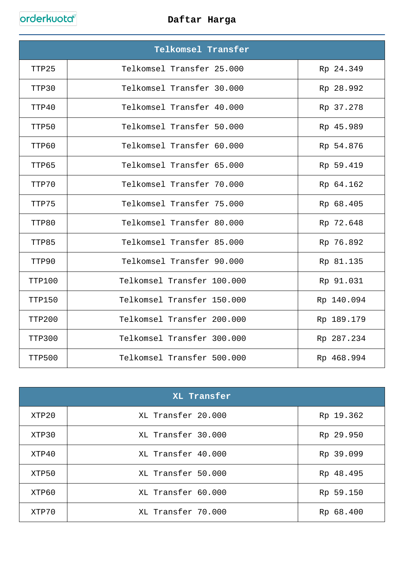orderkuota

## **Daftar Harga**

|        | Telkomsel Transfer         |            |
|--------|----------------------------|------------|
| TTP25  | Telkomsel Transfer 25.000  | Rp 24.349  |
| TTP30  | Telkomsel Transfer 30.000  | Rp 28.992  |
| TTP40  | Telkomsel Transfer 40.000  | Rp 37.278  |
| TTP50  | Telkomsel Transfer 50.000  | Rp 45.989  |
| TTP60  | Telkomsel Transfer 60.000  | Rp 54.876  |
| TTP65  | Telkomsel Transfer 65.000  | Rp 59.419  |
| TTP70  | Telkomsel Transfer 70.000  | Rp 64.162  |
| TTP75  | Telkomsel Transfer 75.000  | Rp 68.405  |
| TTP80  | Telkomsel Transfer 80.000  | Rp 72.648  |
| TTP85  | Telkomsel Transfer 85.000  | Rp 76.892  |
| TTP90  | Telkomsel Transfer 90.000  | Rp 81.135  |
| TTP100 | Telkomsel Transfer 100.000 | Rp 91.031  |
| TTP150 | Telkomsel Transfer 150.000 | Rp 140.094 |
| TTP200 | Telkomsel Transfer 200.000 | Rp 189.179 |
| TTP300 | Telkomsel Transfer 300.000 | Rp 287.234 |
| TTP500 | Telkomsel Transfer 500.000 | Rp 468.994 |

| XL Transfer |                    |           |
|-------------|--------------------|-----------|
| XTP20       | XL Transfer 20.000 | Rp 19.362 |
| XTP30       | XL Transfer 30.000 | Rp 29.950 |
| XTP40       | XL Transfer 40.000 | Rp 39.099 |
| XTP50       | XL Transfer 50.000 | Rp 48.495 |
| XTP60       | XL Transfer 60.000 | Rp 59.150 |
| XTP70       | XL Transfer 70.000 | Rp 68.400 |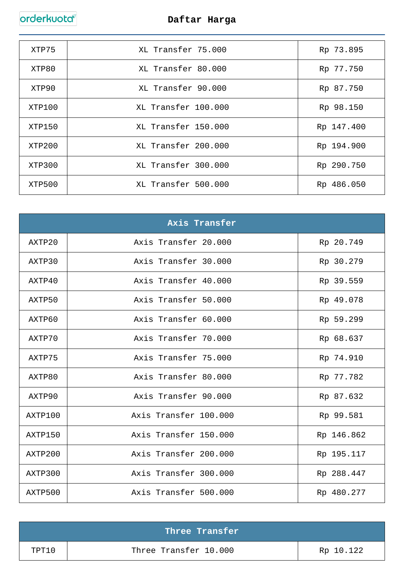orderkuota

## **Daftar Harga**

| XTP75  | XL Transfer 75.000  | Rp 73.895  |
|--------|---------------------|------------|
| XTP80  | XL Transfer 80.000  | Rp 77.750  |
| XTP90  | XL Transfer 90.000  | Rp 87.750  |
| XTP100 | XL Transfer 100.000 | Rp 98.150  |
| XTP150 | XL Transfer 150.000 | Rp 147.400 |
| XTP200 | XL Transfer 200.000 | Rp 194.900 |
| XTP300 | XL Transfer 300.000 | Rp 290.750 |
| XTP500 | XL Transfer 500.000 | Rp 486.050 |

|         | Axis Transfer         |            |
|---------|-----------------------|------------|
| AXTP20  | Axis Transfer 20.000  | Rp 20.749  |
| AXTP30  | Axis Transfer 30.000  | Rp 30.279  |
| AXTP40  | Axis Transfer 40.000  | Rp 39.559  |
| AXTP50  | Axis Transfer 50.000  | Rp 49.078  |
| AXTP60  | Axis Transfer 60.000  | Rp 59.299  |
| AXTP70  | Axis Transfer 70.000  | Rp 68.637  |
| AXTP75  | Axis Transfer 75.000  | Rp 74.910  |
| AXTP80  | Axis Transfer 80.000  | Rp 77.782  |
| AXTP90  | Axis Transfer 90.000  | Rp 87.632  |
| AXTP100 | Axis Transfer 100.000 | Rp 99.581  |
| AXTP150 | Axis Transfer 150.000 | Rp 146.862 |
| AXTP200 | Axis Transfer 200.000 | Rp 195.117 |
| AXTP300 | Axis Transfer 300.000 | Rp 288.447 |
| AXTP500 | Axis Transfer 500.000 | Rp 480.277 |

| Three Transfer |                       |           |
|----------------|-----------------------|-----------|
| TPT10          | Three Transfer 10.000 | Rp 10.122 |